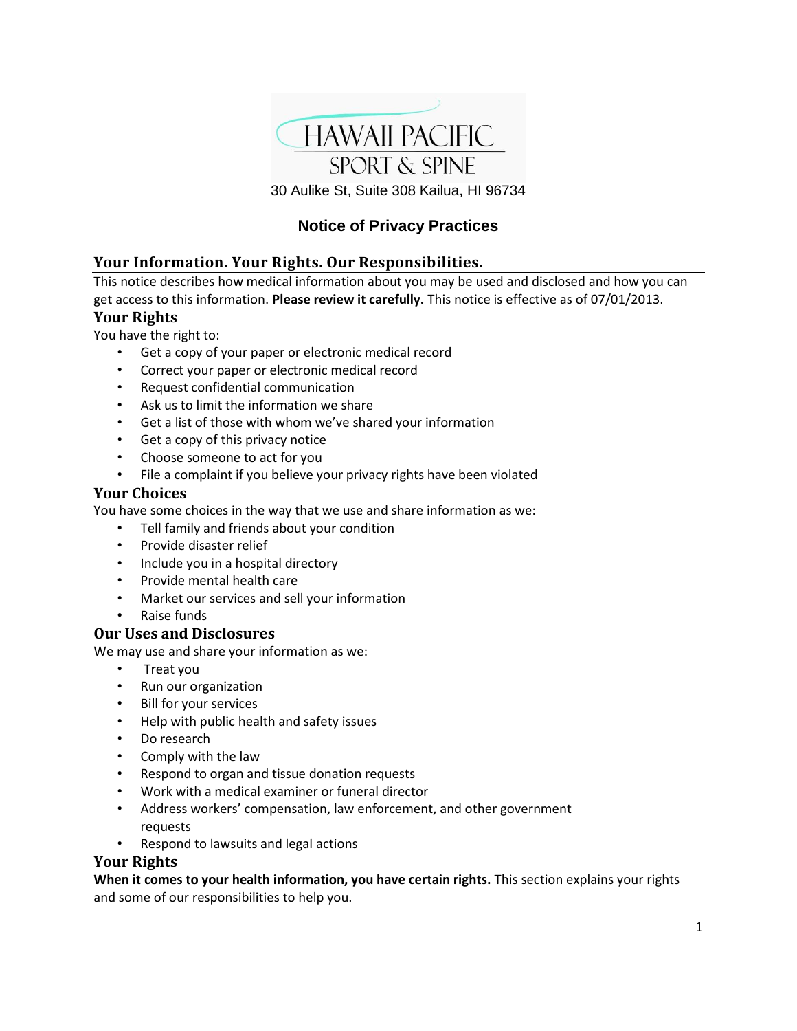

30 Aulike St, Suite 308 Kailua, HI 96734

# **Notice of Privacy Practices**

# **Your Information. Your Rights. Our Responsibilities.**

This notice describes how medical information about you may be used and disclosed and how you can get access to this information. **Please review it carefully.** This notice is effective as of 07/01/2013.

### **Your Rights**

You have the right to:

- Get a copy of your paper or electronic medical record
- Correct your paper or electronic medical record
- Request confidential communication
- Ask us to limit the information we share
- Get a list of those with whom we've shared your information
- Get a copy of this privacy notice
- Choose someone to act for you
- File a complaint if you believe your privacy rights have been violated

### **Your Choices**

You have some choices in the way that we use and share information as we:

- Tell family and friends about your condition
- Provide disaster relief
- Include you in a hospital directory
- Provide mental health care
- Market our services and sell your information
- Raise funds

# **Our Uses and Disclosures**

We may use and share your information as we:

- Treat you
- Run our organization
- Bill for your services
- Help with public health and safety issues
- Do research
- Comply with the law
- Respond to organ and tissue donation requests
- Work with a medical examiner or funeral director
- Address workers' compensation, law enforcement, and other government requests
- Respond to lawsuits and legal actions

# **Your Rights**

**When it comes to your health information, you have certain rights.** This section explains your rights and some of our responsibilities to help you.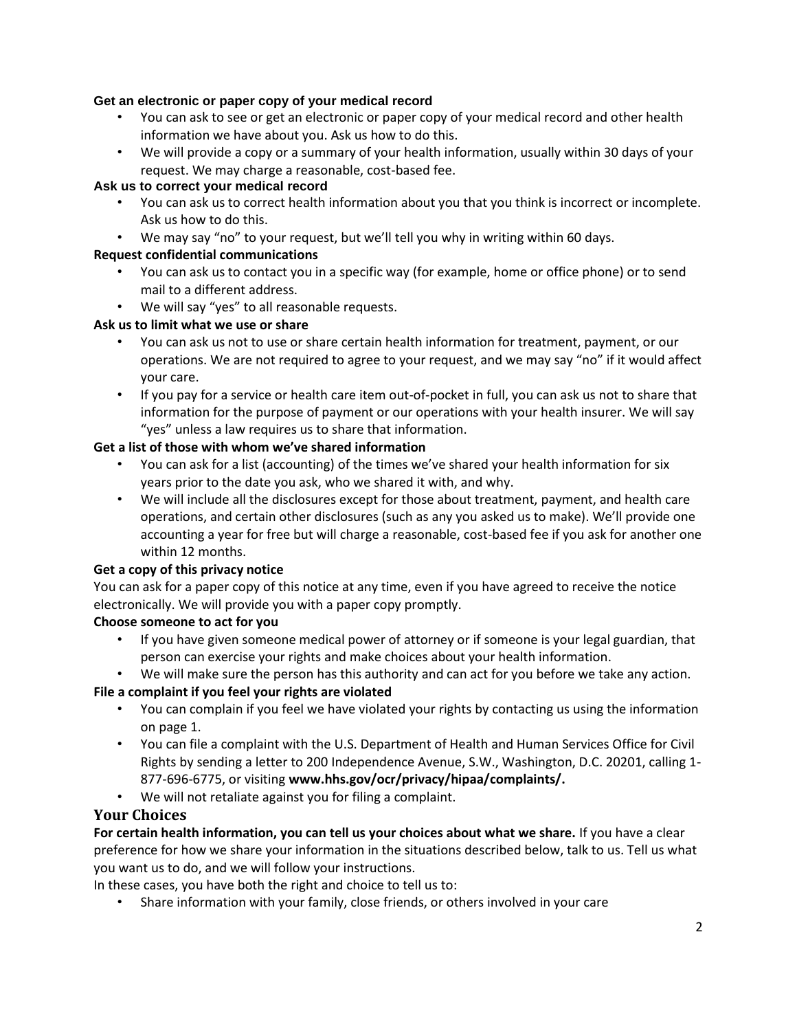### **Get an electronic or paper copy of your medical record**

- You can ask to see or get an electronic or paper copy of your medical record and other health information we have about you. Ask us how to do this.
- We will provide a copy or a summary of your health information, usually within 30 days of your request. We may charge a reasonable, cost-based fee.

### **Ask us to correct your medical record**

- You can ask us to correct health information about you that you think is incorrect or incomplete. Ask us how to do this.
- We may say "no" to your request, but we'll tell you why in writing within 60 days.

# **Request confidential communications**

- You can ask us to contact you in a specific way (for example, home or office phone) or to send mail to a different address.
- We will say "yes" to all reasonable requests.

### **Ask us to limit what we use or share**

- You can ask us not to use or share certain health information for treatment, payment, or our operations. We are not required to agree to your request, and we may say "no" if it would affect your care.
- If you pay for a service or health care item out-of-pocket in full, you can ask us not to share that information for the purpose of payment or our operations with your health insurer. We will say "yes" unless a law requires us to share that information.

### **Get a list of those with whom we've shared information**

- You can ask for a list (accounting) of the times we've shared your health information for six years prior to the date you ask, who we shared it with, and why.
- We will include all the disclosures except for those about treatment, payment, and health care operations, and certain other disclosures (such as any you asked us to make). We'll provide one accounting a year for free but will charge a reasonable, cost-based fee if you ask for another one within 12 months.

# **Get a copy of this privacy notice**

You can ask for a paper copy of this notice at any time, even if you have agreed to receive the notice electronically. We will provide you with a paper copy promptly.

#### **Choose someone to act for you**

- If you have given someone medical power of attorney or if someone is your legal guardian, that person can exercise your rights and make choices about your health information.
- We will make sure the person has this authority and can act for you before we take any action.

# **File a complaint if you feel your rights are violated**

- You can complain if you feel we have violated your rights by contacting us using the information on page 1.
- You can file a complaint with the U.S. Department of Health and Human Services Office for Civil Rights by sending a letter to 200 Independence Avenue, S.W., Washington, D.C. 20201, calling 1- 877-696-6775, or visiting **www.hhs.gov/ocr/privacy/hipaa/complaints/.**
- We will not retaliate against you for filing a complaint.

# **Your Choices**

**For certain health information, you can tell us your choices about what we share.** If you have a clear preference for how we share your information in the situations described below, talk to us. Tell us what you want us to do, and we will follow your instructions.

In these cases, you have both the right and choice to tell us to:

• Share information with your family, close friends, or others involved in your care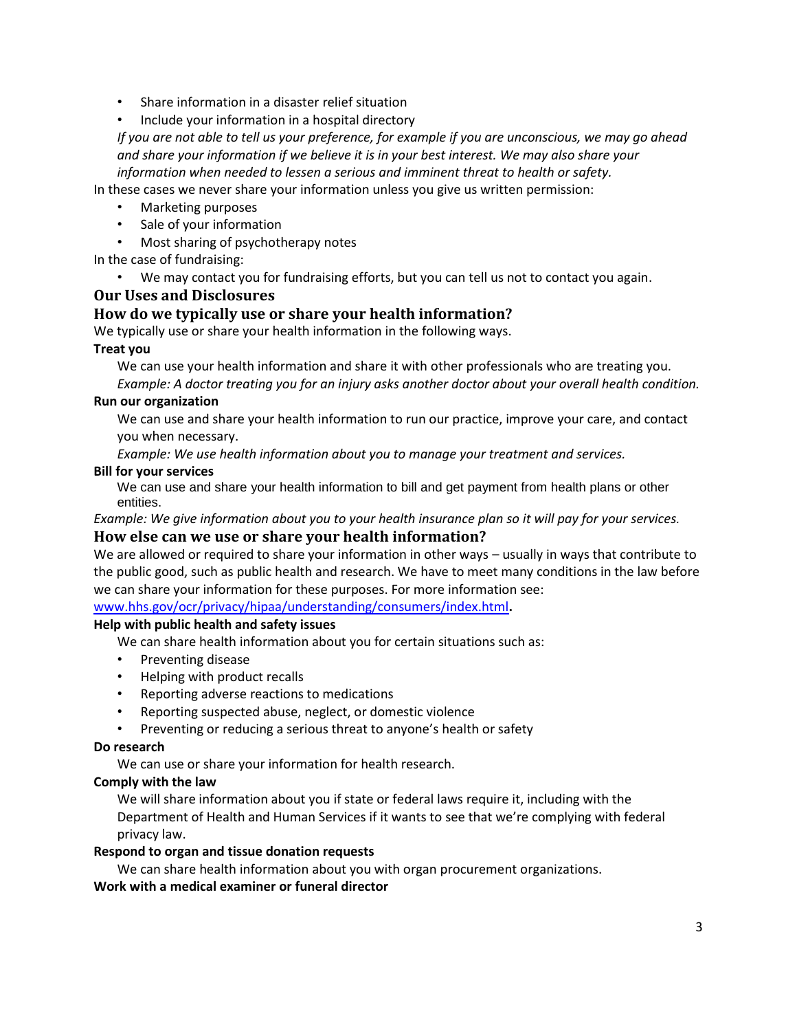- Share information in a disaster relief situation
- Include your information in a hospital directory

*If you are not able to tell us your preference, for example if you are unconscious, we may go ahead and share your information if we believe it is in your best interest. We may also share your information when needed to lessen a serious and imminent threat to health or safety.*

In these cases we never share your information unless you give us written permission:

- Marketing purposes
- Sale of your information
- Most sharing of psychotherapy notes

In the case of fundraising:

• We may contact you for fundraising efforts, but you can tell us not to contact you again.

### **Our Uses and Disclosures**

# **How do we typically use or share your health information?**

We typically use or share your health information in the following ways.

#### **Treat you**

We can use your health information and share it with other professionals who are treating you. *Example: A doctor treating you for an injury asks another doctor about your overall health condition.*

#### **Run our organization**

We can use and share your health information to run our practice, improve your care, and contact you when necessary.

*Example: We use health information about you to manage your treatment and services.* 

#### **Bill for your services**

We can use and share your health information to bill and get payment from health plans or other entities.

*Example: We give information about you to your health insurance plan so it will pay for your services.* 

#### **How else can we use or share your health information?**

We are allowed or required to share your information in other ways – usually in ways that contribute to the public good, such as public health and research. We have to meet many conditions in the law before we can share your information for these purposes. For more information see:

[www.hhs.gov/ocr/privacy/hipaa/understanding/consumers/index.html](http://www.hhs.gov/ocr/privacy/hipaa/understanding/consumers/index.html)**.**

#### **Help with public health and safety issues**

- We can share health information about you for certain situations such as:
- Preventing disease
- Helping with product recalls
- Reporting adverse reactions to medications
- Reporting suspected abuse, neglect, or domestic violence
- Preventing or reducing a serious threat to anyone's health or safety

### **Do research**

We can use or share your information for health research.

#### **Comply with the law**

We will share information about you if state or federal laws require it, including with the Department of Health and Human Services if it wants to see that we're complying with federal privacy law.

#### **Respond to organ and tissue donation requests**

We can share health information about you with organ procurement organizations.

#### **Work with a medical examiner or funeral director**